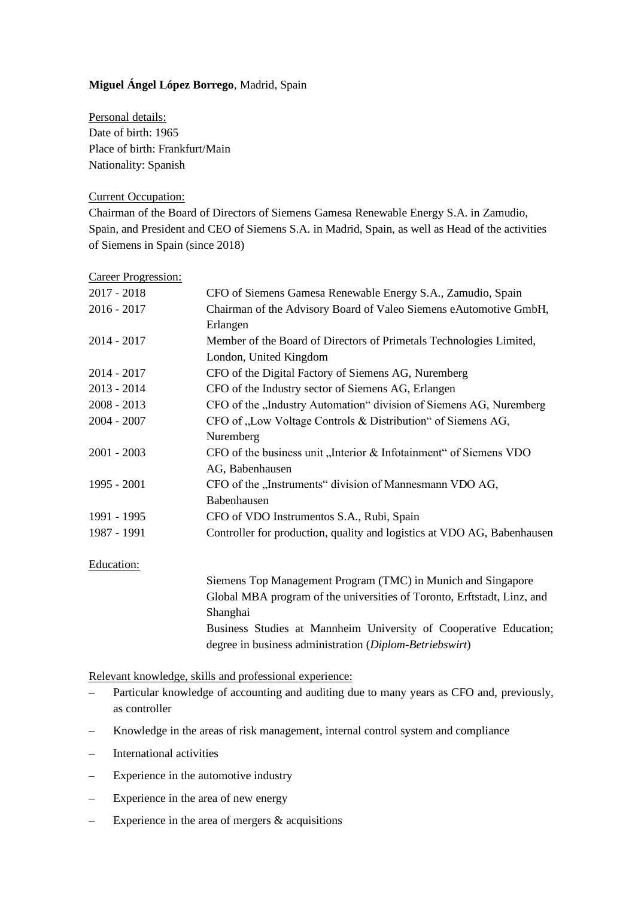## **Miguel Ángel López Borrego**, Madrid, Spain

Personal details: Date of birth: 1965 Place of birth: Frankfurt/Main Nationality: Spanish

## Current Occupation:

Chairman of the Board of Directors of Siemens Gamesa Renewable Energy S.A. in Zamudio, Spain, and President and CEO of Siemens S.A. in Madrid, Spain, as well as Head of the activities of Siemens in Spain (since 2018)

| Career Progression: |
|---------------------|
|                     |

| Chairman of the Advisory Board of Valeo Siemens eAutomotive GmbH,<br>Member of the Board of Directors of Primetals Technologies Limited, |
|------------------------------------------------------------------------------------------------------------------------------------------|
|                                                                                                                                          |
|                                                                                                                                          |
|                                                                                                                                          |
|                                                                                                                                          |
| CFO of the Digital Factory of Siemens AG, Nuremberg                                                                                      |
| CFO of the Industry sector of Siemens AG, Erlangen                                                                                       |
| CFO of the "Industry Automation" division of Siemens AG, Nuremberg                                                                       |
| CFO of "Low Voltage Controls & Distribution" of Siemens AG,                                                                              |
|                                                                                                                                          |
| CFO of the business unit "Interior & Infotainment" of Siemens VDO                                                                        |
|                                                                                                                                          |
| CFO of the "Instruments" division of Mannesmann VDO AG,                                                                                  |
|                                                                                                                                          |
|                                                                                                                                          |
| Controller for production, quality and logistics at VDO AG, Babenhausen                                                                  |
|                                                                                                                                          |
| Siemens Top Management Program (TMC) in Munich and Singapore                                                                             |
|                                                                                                                                          |

Global MBA program of the universities of Toronto, Erftstadt, Linz, and Shanghai Business Studies at Mannheim University of Cooperative Education; degree in business administration (*Diplom-Betriebswirt*)

Relevant knowledge, skills and professional experience:

- Particular knowledge of accounting and auditing due to many years as CFO and, previously, as controller
- Knowledge in the areas of risk management, internal control system and compliance
- International activities
- Experience in the automotive industry
- Experience in the area of new energy
- $-$  Experience in the area of mergers  $\&$  acquisitions